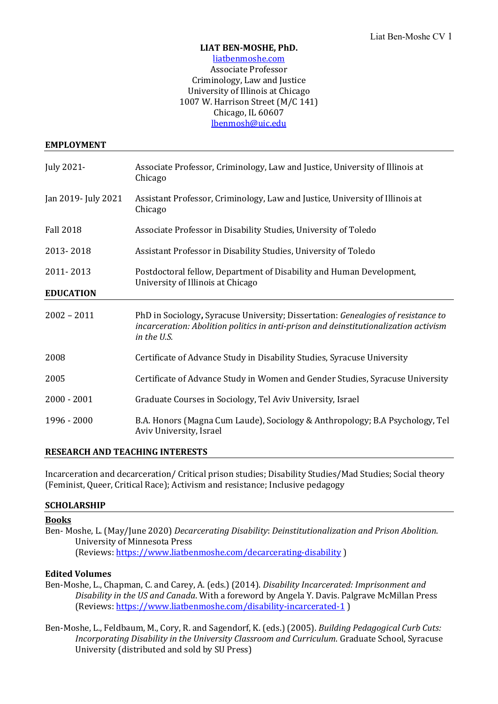### **LIAT BEN-MOSHE, PhD.**

### liatbenmoshe.com Associate Professor Criminology, Law and Justice University of Illinois at Chicago 1007 W. Harrison Street (M/C 141) Chicago, IL 60607 [lbenmosh@uic.edu](mailto:lbenmosh@uic.edu)

### **EMPLOYMENT**

| July 2021-          | Associate Professor, Criminology, Law and Justice, University of Illinois at<br>Chicago                                                                                                  |
|---------------------|------------------------------------------------------------------------------------------------------------------------------------------------------------------------------------------|
| Jan 2019- July 2021 | Assistant Professor, Criminology, Law and Justice, University of Illinois at<br>Chicago                                                                                                  |
| <b>Fall 2018</b>    | Associate Professor in Disability Studies, University of Toledo                                                                                                                          |
| 2013-2018           | Assistant Professor in Disability Studies, University of Toledo                                                                                                                          |
| 2011-2013           | Postdoctoral fellow, Department of Disability and Human Development,<br>University of Illinois at Chicago                                                                                |
| <b>EDUCATION</b>    |                                                                                                                                                                                          |
| $2002 - 2011$       | PhD in Sociology, Syracuse University; Dissertation: Genealogies of resistance to<br>incarceration: Abolition politics in anti-prison and deinstitutionalization activism<br>in the U.S. |
| 2008                | Certificate of Advance Study in Disability Studies, Syracuse University                                                                                                                  |
| 2005                | Certificate of Advance Study in Women and Gender Studies, Syracuse University                                                                                                            |
| $2000 - 2001$       | Graduate Courses in Sociology, Tel Aviv University, Israel                                                                                                                               |
| 1996 - 2000         | B.A. Honors (Magna Cum Laude), Sociology & Anthropology; B.A Psychology, Tel<br>Aviv University, Israel                                                                                  |

## **RESEARCH AND TEACHING INTERESTS**

Incarceration and decarceration/ Critical prison studies; Disability Studies/Mad Studies; Social theory (Feminist, Queer, Critical Race); Activism and resistance; Inclusive pedagogy

## **SCHOLARSHIP**

### **Books**

Ben- Moshe, L. (May/June 2020) *Decarcerating Disability*: *Deinstitutionalization and Prison Abolition*. University of Minnesota Press (Reviews:<https://www.liatbenmoshe.com/decarcerating-disability> )

### **Edited Volumes**

Ben-Moshe, L., Chapman, C. and Carey, A. (eds.) (2014). *Disability Incarcerated: Imprisonment and Disability in the US and Canada*. With a foreword by Angela Y. Davis. Palgrave McMillan Press (Reviews:<https://www.liatbenmoshe.com/disability-incarcerated-1> )

Ben-Moshe, L., Feldbaum, M., Cory, R. and Sagendorf, K. (eds.) (2005). *Building Pedagogical Curb Cuts: Incorporating Disability in the University Classroom and Curriculum*. Graduate School, Syracuse University (distributed and sold by SU Press)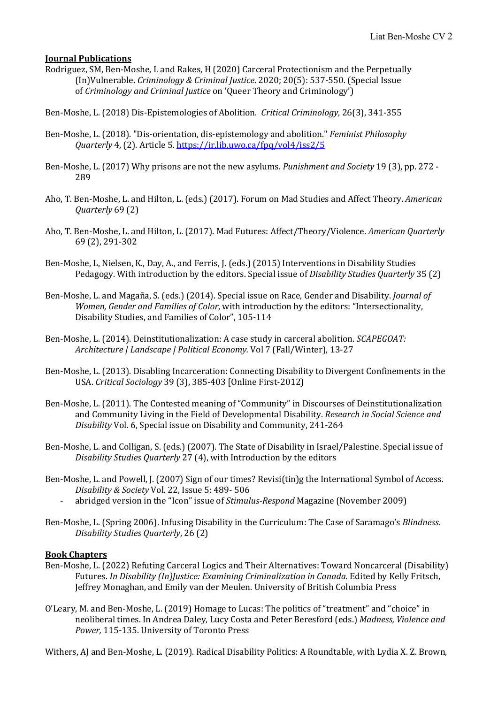## **Journal Publications**

- Rodriguez, SM, Ben-Moshe, L and Rakes, H (2020) Carceral Protectionism and the Perpetually (In)Vulnerable. *Criminology & Criminal Justice*. 2020; 20(5): 537-550. (Special Issue of *Criminology and Criminal Justice* on 'Queer Theory and Criminology')
- Ben-Moshe, L. (2018) Dis-Epistemologies of Abolition. *Critical Criminology*, 26(3), 341-355
- Ben-Moshe, L. (2018). "Dis-orientation, dis-epistemology and abolition." *Feminist Philosophy Quarterly* 4, (2). Article 5.<https://ir.lib.uwo.ca/fpq/vol4/iss2/5>
- Ben-Moshe, L. (2017) Why prisons are not the new asylums. *Punishment and Society* 19 (3), pp. 272 289
- Aho, T. Ben-Moshe, L. and Hilton, L. (eds.) (2017). Forum on Mad Studies and Affect Theory. *American Quarterly* 69 (2)
- Aho, T. Ben-Moshe, L. and Hilton, L. (2017). Mad Futures: Affect/Theory/Violence. *American Quarterly*  69 (2), 291-302
- Ben-Moshe, L, Nielsen, K., Day, A., and Ferris, J. (eds.) (2015) Interventions in Disability Studies Pedagogy. With introduction by the editors. Special issue of *Disability Studies Quarterly* 35 (2)
- Ben-Moshe, L. and Magaña, S. (eds.) (2014). Special issue on Race, Gender and Disability. *Journal of Women, Gender and Families of Color*, with introduction by the editors: "Intersectionality, Disability Studies, and Families of Color", 105-114
- Ben-Moshe, L. (2014). Deinstitutionalization: A case study in carceral abolition. *SCAPEGOAT: Architecture | Landscape | Political Economy.* Vol 7 (Fall/Winter), 13-27
- Ben-Moshe, L. (2013). Disabling Incarceration: Connecting Disability to Divergent Confinements in the USA. *Critical Sociology* 39 (3), 385-403 [Online First-2012)
- Ben-Moshe, L. (2011). The Contested meaning of "Community" in Discourses of Deinstitutionalization and Community Living in the Field of Developmental Disability. *Research in Social Science and Disability* Vol. 6, Special issue on Disability and Community, 241-264
- Ben-Moshe, L. and Colligan, S. (eds.) (2007). The State of Disability in Israel/Palestine. Special issue of *Disability Studies Quarterly* 27 (4), with Introduction by the editors
- Ben-Moshe, L. and Powell, J. (2007) Sign of our times? Revisi(tin)g the International Symbol of Access. *Disability & Society* Vol. 22, Issue 5: 489- 506
	- abridged version in the "Icon" issue of *Stimulus-Respond* Magazine (November 2009)
- Ben-Moshe, L. (Spring 2006). Infusing Disability in the Curriculum: The Case of Saramago's *Blindness. Disability Studies Quarterly*, 26 (2)

### **Book Chapters**

- Ben-Moshe, L. (2022) Refuting Carceral Logics and Their Alternatives: Toward Noncarceral (Disability) Futures. *In Disability (In)Justice: Examining Criminalization in Canada.* Edited by Kelly Fritsch, Jeffrey Monaghan, and Emily van der Meulen. University of British Columbia Press
- O'Leary, M. and Ben-Moshe, L. (2019) Homage to Lucas: The politics of "treatment" and "choice" in neoliberal times. In Andrea Daley, Lucy Costa and Peter Beresford (eds.) *Madness, Violence and Power,* 115-135. University of Toronto Press

Withers, AJ and Ben-Moshe, L. (2019). Radical Disability Politics: A Roundtable, with Lydia X. Z. Brown,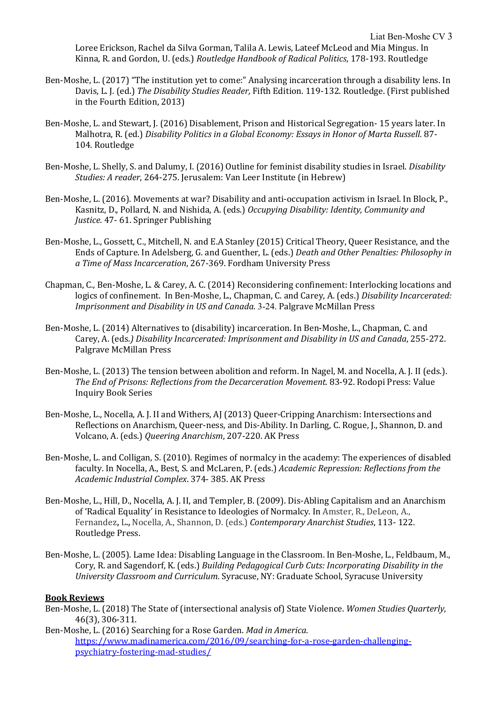Loree Erickson, Rachel da Silva Gorman, Talila A. Lewis, Lateef McLeod and Mia Mingus. In Kinna, R. and Gordon, U. (eds.) *Routledge Handbook of Radical Politics*, 178-193. Routledge

- Ben-Moshe, L. (2017) "The institution yet to come:" Analysing incarceration through a disability lens. In Davis, L. J. (ed.) *The Disability Studies Reader,* Fifth Edition. 119-132. Routledge. (First published in the Fourth Edition, 2013)
- Ben-Moshe, L. and Stewart, J. (2016) Disablement, Prison and Historical Segregation- 15 years later. In Malhotra, R. (ed.) *Disability Politics in a Global Economy: Essays in Honor of Marta Russell.* 87- 104. Routledge
- Ben-Moshe, L. Shelly, S. and Dalumy, I. (2016) Outline for feminist disability studies in Israel. *Disability Studies: A reader*, 264-275. Jerusalem: Van Leer Institute (in Hebrew)
- Ben-Moshe, L. (2016). Movements at war? Disability and anti-occupation activism in Israel. In Block, P., Kasnitz, D., Pollard, N. and Nishida, A. (eds.) *Occupying Disability: Identity, Community and Justice.* 47- 61. Springer Publishing
- Ben-Moshe, L., Gossett, C., Mitchell, N. and E.A Stanley (2015) Critical Theory, Queer Resistance, and the Ends of Capture. In Adelsberg, G. and Guenther, L. (eds.) *Death and Other Penalties: Philosophy in a Time of Mass Incarceration*, 267-369. Fordham University Press
- Chapman, C., Ben-Moshe, L. & Carey, A. C. (2014) Reconsidering confinement: Interlocking locations and logics of confinement. In Ben-Moshe, L., Chapman, C. and Carey, A. (eds.) *Disability Incarcerated: Imprisonment and Disability in US and Canada*. 3-24. Palgrave McMillan Press
- Ben-Moshe, L. (2014) Alternatives to (disability) incarceration. In Ben-Moshe, L., Chapman, C. and Carey, A. (eds*.) Disability Incarcerated: Imprisonment and Disability in US and Canada*, 255-272. Palgrave McMillan Press
- Ben-Moshe, L. (2013) The tension between abolition and reform. In Nagel, M. and Nocella, A. J. II (eds.). *The End of Prisons: Reflections from the Decarceration Movement*. 83-92. Rodopi Press: Value Inquiry Book Series
- Ben-Moshe, L., Nocella, A. J. II and Withers, AJ (2013) Queer-Cripping Anarchism: Intersections and Reflections on Anarchism, Queer-ness, and Dis-Ability. In Darling, C. Rogue, J., Shannon, D. and Volcano, A. (eds.) *Queering Anarchism*, 207-220. AK Press
- Ben-Moshe, L. and Colligan, S. (2010). Regimes of normalcy in the academy: The experiences of disabled faculty. In Nocella, A., Best, S. and McLaren, P. (eds.) *Academic Repression: Reflections from the Academic Industrial Complex*. 374- 385. AK Press
- Ben-Moshe, L., Hill, D., Nocella, A. J. II, and Templer, B. (2009). Dis-Abling Capitalism and an Anarchism of 'Radical Equality' in Resistance to Ideologies of Normalcy. In Amster, R., DeLeon, A., Fernandez**,** L**.,** Nocella, A., Shannon, D. (eds.) *Contemporary Anarchist Studies*, 113- 122. Routledge Press.
- Ben-Moshe, L. (2005). Lame Idea: Disabling Language in the Classroom. In Ben-Moshe, L., Feldbaum, M., Cory, R. and Sagendorf, K. (eds.) *Building Pedagogical Curb Cuts: Incorporating Disability in the University Classroom and Curriculum.* Syracuse, NY: Graduate School, Syracuse University

### **Book Reviews**

- Ben-Moshe, L. (2018) The State of (intersectional analysis of) State Violence. *Women Studies Quarterly*, 46(3), 306-311.
- Ben-Moshe, L. (2016) Searching for a Rose Garden. *Mad in America*. [https://www.madinamerica.com/2016/09/searching-for-a-rose-garden-challenging](https://www.madinamerica.com/2016/09/searching-for-a-rose-garden-challenging-psychiatry-fostering-mad-studies/)[psychiatry-fostering-mad-studies/](https://www.madinamerica.com/2016/09/searching-for-a-rose-garden-challenging-psychiatry-fostering-mad-studies/)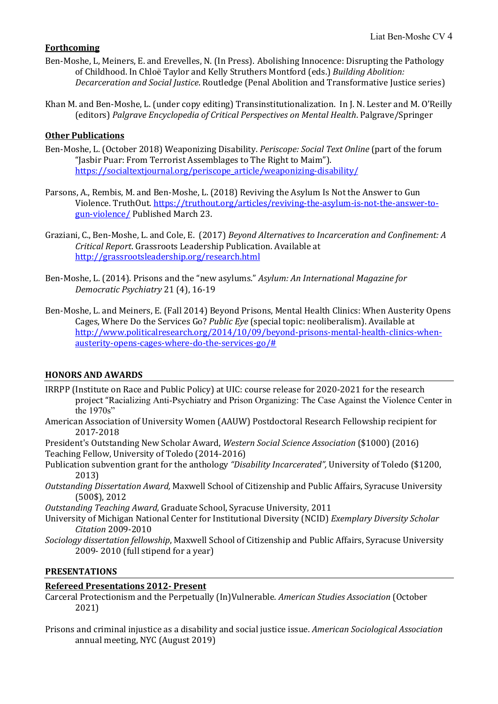# **Forthcoming**

- Ben-Moshe, L, Meiners, E. and Erevelles, N. (In Press). Abolishing Innocence: Disrupting the Pathology of Childhood. In Chloë Taylor and Kelly Struthers Montford (eds.) *Building Abolition: Decarceration and Social Justice*. Routledge (Penal Abolition and Transformative Justice series)
- Khan M. and Ben-Moshe, L. (under copy editing) Transinstitutionalization. In J. N. Lester and M. O'Reilly (editors) *Palgrave Encyclopedia of Critical Perspectives on Mental Health*. Palgrave/Springer

# **Other Publications**

- Ben-Moshe, L. (October 2018) Weaponizing Disability. *Periscope: Social Text Online* (part of the forum "Jasbir Puar: From Terrorist Assemblages to The Right to Maim"). [https://socialtextjournal.org/periscope\\_article/weaponizing-disability/](https://socialtextjournal.org/periscope_article/weaponizing-disability/)
- Parsons, A., Rembis, M. and Ben-Moshe, L. (2018) Reviving the Asylum Is Not the Answer to Gun Violence. TruthOut[. https://truthout.org/articles/reviving-the-asylum-is-not-the-answer-to](https://truthout.org/articles/reviving-the-asylum-is-not-the-answer-to-gun-violence/)[gun-violence/](https://truthout.org/articles/reviving-the-asylum-is-not-the-answer-to-gun-violence/) Published March 23.
- Graziani, C., Ben-Moshe, L. and Cole, E. (2017) *Beyond Alternatives to Incarceration and Confinement: A Critical Report*. Grassroots Leadership Publication. Available at <http://grassrootsleadership.org/research.html>
- Ben-Moshe, L. (2014). Prisons and the "new asylums." *Asylum: An International Magazine for Democratic Psychiatry* 21 (4), 16-19
- Ben-Moshe, L. and Meiners, E. (Fall 2014) Beyond Prisons, Mental Health Clinics: When Austerity Opens Cages, Where Do the Services Go? *Public Eye* (special topic: neoliberalism). Available at [http://www.politicalresearch.org/2014/10/09/beyond-prisons-mental-health-clinics-when](http://www.politicalresearch.org/2014/10/09/beyond-prisons-mental-health-clinics-when-austerity-opens-cages-where-do-the-services-go/)[austerity-opens-cages-where-do-the-services-go/#](http://www.politicalresearch.org/2014/10/09/beyond-prisons-mental-health-clinics-when-austerity-opens-cages-where-do-the-services-go/)

## **HONORS AND AWARDS**

- IRRPP (Institute on Race and Public Policy) at UIC: course release for 2020-2021 for the research project "Racializing Anti-Psychiatry and Prison Organizing: The Case Against the Violence Center in the 1970s"
- American Association of University Women (AAUW) Postdoctoral Research Fellowship recipient for 2017-2018
- President's Outstanding New Scholar Award, *Western Social Science Association* (\$1000) (2016) Teaching Fellow, University of Toledo (2014-2016)
- Publication subvention grant for the anthology *"Disability Incarcerated",* University of Toledo (\$1200, 2013)
- *Outstanding Dissertation Award,* Maxwell School of Citizenship and Public Affairs, Syracuse University (500\$), 2012

*Outstanding Teaching Award,* Graduate School, Syracuse University, 2011

- University of Michigan National Center for Institutional Diversity (NCID) *Exemplary Diversity Scholar Citation* 2009-2010
- *Sociology dissertation fellowship*, Maxwell School of Citizenship and Public Affairs, Syracuse University 2009- 2010 (full stipend for a year)

## **PRESENTATIONS**

## **Refereed Presentations 2012- Present**

- Carceral Protectionism and the Perpetually (In)Vulnerable. *American Studies Association* (October 2021)
- Prisons and criminal injustice as a disability and social justice issue. *American Sociological Association* annual meeting, NYC (August 2019)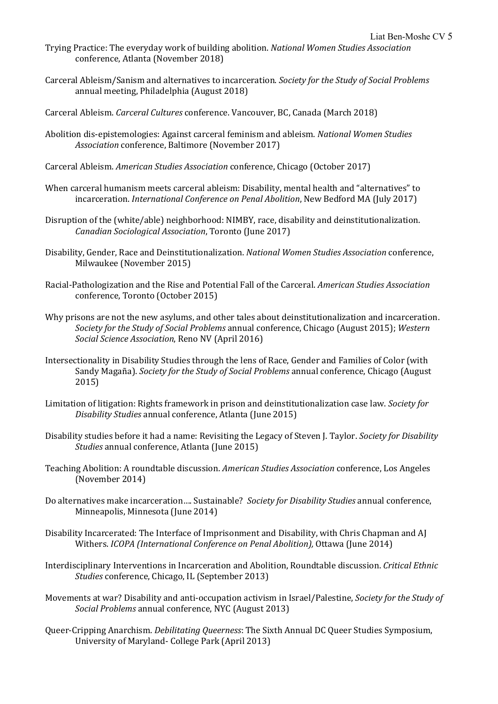- Trying Practice: The everyday work of building abolition. *National Women Studies Association* conference, Atlanta (November 2018)
- Carceral Ableism/Sanism and alternatives to incarceration. *Society for the Study of Social Problems* annual meeting, Philadelphia (August 2018)
- Carceral Ableism. *Carceral Cultures* conference. Vancouver, BC, Canada (March 2018)
- Abolition dis-epistemologies: Against carceral feminism and ableism. *National Women Studies Association* conference, Baltimore (November 2017)
- Carceral Ableism. *American Studies Association* conference, Chicago (October 2017)
- When carceral humanism meets carceral ableism: Disability, mental health and "alternatives" to incarceration. *International Conference on Penal Abolition*, New Bedford MA (July 2017)
- Disruption of the (white/able) neighborhood: NIMBY, race, disability and deinstitutionalization. *Canadian Sociological Association*, Toronto (June 2017)
- Disability, Gender, Race and Deinstitutionalization. *National Women Studies Association* conference, Milwaukee (November 2015)
- Racial-Pathologization and the Rise and Potential Fall of the Carceral. *American Studies Association* conference, Toronto (October 2015)
- Why prisons are not the new asylums, and other tales about deinstitutionalization and incarceration. *Society for the Study of Social Problems* annual conference, Chicago (August 2015); *Western Social Science Association*, Reno NV (April 2016)
- Intersectionality in Disability Studies through the lens of Race, Gender and Families of Color (with Sandy Magaña). *Society for the Study of Social Problems* annual conference, Chicago (August 2015)
- Limitation of litigation: Rights framework in prison and deinstitutionalization case law. *Society for Disability Studies* annual conference, Atlanta (June 2015)
- Disability studies before it had a name: Revisiting the Legacy of Steven J. Taylor. *Society for Disability Studies* annual conference, Atlanta (June 2015)
- Teaching Abolition: A roundtable discussion. *American Studies Association* conference, Los Angeles (November 2014)
- Do alternatives make incarceration…. Sustainable? *Society for Disability Studies* annual conference, Minneapolis, Minnesota (June 2014)
- Disability Incarcerated: The Interface of Imprisonment and Disability, with Chris Chapman and AJ Withers. *ICOPA (International Conference on Penal Abolition),* Ottawa (June 2014)
- Interdisciplinary Interventions in Incarceration and Abolition, Roundtable discussion. *Critical Ethnic Studies* conference, Chicago, IL (September 2013)
- Movements at war? Disability and anti-occupation activism in Israel/Palestine, *Society for the Study of Social Problems* annual conference, NYC (August 2013)
- Queer-Cripping Anarchism. *Debilitating Queerness*: The Sixth Annual DC Queer Studies Symposium, University of Maryland- College Park (April 2013)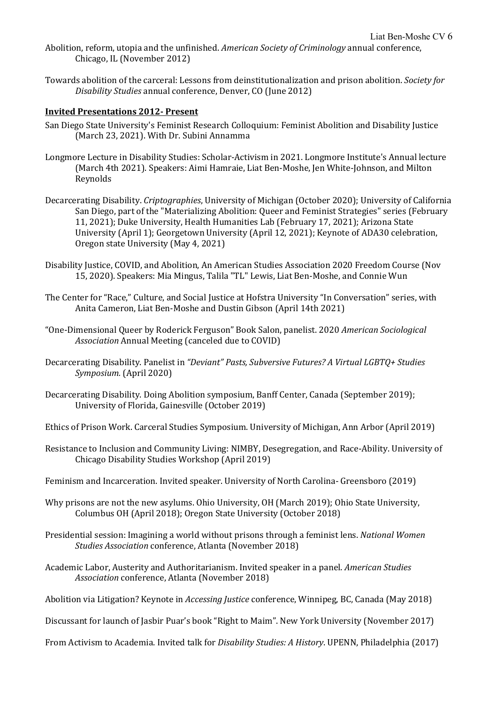- Abolition, reform, utopia and the unfinished. *American Society of Criminology* annual conference, Chicago, IL (November 2012)
- Towards abolition of the carceral: Lessons from deinstitutionalization and prison abolition. *Society for Disability Studies* annual conference, Denver, CO (June 2012)

### **Invited Presentations 2012- Present**

- San Diego State University's Feminist Research Colloquium: Feminist Abolition and Disability Justice (March 23, 2021). With Dr. Subini Annamma
- Longmore Lecture in Disability Studies: Scholar-Activism in 2021. Longmore Institute's Annual lecture (March 4th 2021). Speakers: Aimi Hamraie, Liat Ben-Moshe, Jen White-Johnson, and Milton Reynolds
- Decarcerating Disability. *Criptographies*, University of Michigan (October 2020); University of California San Diego, part of the "Materializing Abolition: Queer and Feminist Strategies" series (February 11, 2021); Duke University, Health Humanities Lab (February 17, 2021); Arizona State University (April 1); Georgetown University (April 12, 2021); Keynote of ADA30 celebration, Oregon state University (May 4, 2021)
- Disability Justice, COVID, and Abolition, An American Studies Association 2020 Freedom Course (Nov 15, 2020). Speakers: Mia Mingus, Talila "TL" Lewis, Liat Ben-Moshe, and Connie Wun
- The Center for "Race," Culture, and Social Justice at Hofstra University "In Conversation" series, with Anita Cameron, Liat Ben-Moshe and Dustin Gibson (April 14th 2021)
- "One-Dimensional Queer by Roderick Ferguson" Book Salon, panelist. 2020 *American Sociological Association* Annual Meeting (canceled due to COVID)
- Decarcerating Disability. Panelist in *"Deviant" Pasts, Subversive Futures? A Virtual LGBTQ+ Studies Symposium.* (April 2020)
- Decarcerating Disability. Doing Abolition symposium, Banff Center, Canada (September 2019); University of Florida, Gainesville (October 2019)
- Ethics of Prison Work. Carceral Studies Symposium. University of Michigan, Ann Arbor (April 2019)
- Resistance to Inclusion and Community Living: NIMBY, Desegregation, and Race-Ability. University of Chicago Disability Studies Workshop (April 2019)
- Feminism and Incarceration. Invited speaker. University of North Carolina- Greensboro (2019)
- Why prisons are not the new asylums. Ohio University, OH (March 2019); Ohio State University, Columbus OH (April 2018); Oregon State University (October 2018)
- Presidential session: Imagining a world without prisons through a feminist lens. *National Women Studies Association* conference, Atlanta (November 2018)
- Academic Labor, Austerity and Authoritarianism. Invited speaker in a panel. *American Studies Association* conference, Atlanta (November 2018)
- Abolition via Litigation? Keynote in *Accessing Justice* conference, Winnipeg, BC, Canada (May 2018)
- Discussant for launch of Jasbir Puar's book "Right to Maim". New York University (November 2017)
- From Activism to Academia. Invited talk for *Disability Studies: A History*. UPENN, Philadelphia (2017)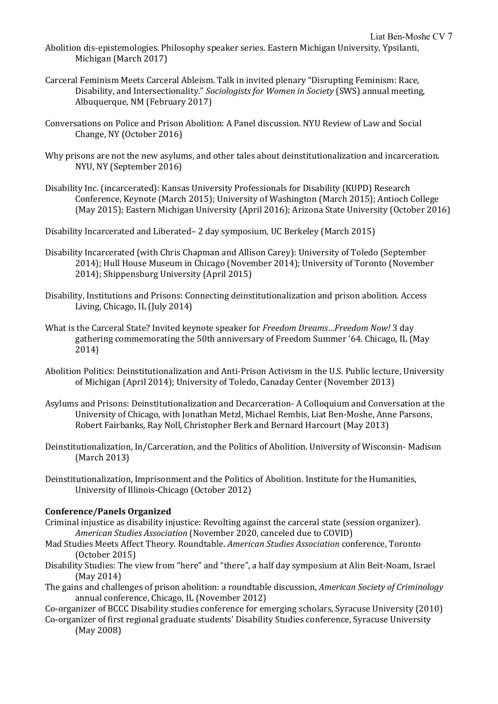- Abolition dis-epistemologies. Philosophy speaker series. Eastern Michigan University, Ypsilanti, Michigan (March 2017)
- Carceral Feminism Meets Carceral Ableism. Talk in invited plenary "Disrupting Feminism: Race, Disability, and Intersectionality." *Sociologists for Women in Society* (SWS) annual meeting, Albuquerque, NM (February 2017)
- Conversations on Police and Prison Abolition: A Panel discussion. NYU Review of Law and Social Change, NY (October 2016)
- Why prisons are not the new asylums, and other tales about deinstitutionalization and incarceration. NYU, NY (September 2016)
- Disability Inc. (incarcerated): Kansas University Professionals for Disability (KUPD) Research Conference, Keynote (March 2015); University of Washington (March 2015); Antioch College (May 2015); Eastern Michigan University (April 2016); Arizona State University (October 2016)

Disability Incarcerated and Liberated– 2 day symposium, UC Berkeley (March 2015)

- Disability Incarcerated (with Chris Chapman and Allison Carey): University of Toledo (September 2014); Hull House Museum in Chicago (November 2014); University of Toronto (November 2014); Shippensburg University (April 2015)
- Disability, Institutions and Prisons: Connecting deinstitutionalization and prison abolition*.* Access Living, Chicago, IL (July 2014)
- What is the Carceral State? Invited keynote speaker for *Freedom Dreams…Freedom Now!* 3 day gathering commemorating the 50th anniversary of Freedom Summer '64. Chicago, IL (May 2014)
- Abolition Politics: Deinstitutionalization and Anti-Prison Activism in the U.S. Public lecture, University of Michigan (April 2014); University of Toledo, Canaday Center (November 2013)
- Asylums and Prisons: Deinstitutionalization and Decarceration- A Colloquium and Conversation at the University of Chicago, with Jonathan Metzl, Michael Rembis, Liat Ben-Moshe, Anne Parsons, Robert Fairbanks, Ray Noll, Christopher Berk and Bernard Harcourt (May 2013)
- Deinstitutionalization, In/Carceration, and the Politics of Abolition. University of Wisconsin- Madison (March 2013)
- Deinstitutionalization, Imprisonment and the Politics of Abolition. Institute for the Humanities, University of Illinois-Chicago (October 2012)

### **Conference/Panels Organized**

- Criminal injustice as disability injustice: Revolting against the carceral state (session organizer). *American Studies Association* (November 2020, canceled due to COVID)
- Mad Studies Meets Affect Theory. Roundtable. *American Studies Association* conference, Toronto (October 2015)
- Disability Studies: The view from "here" and "there", a half day symposium at Alin Beit-Noam, Israel (May 2014)
- The gains and challenges of prison abolition: a roundtable discussion, *American Society of Criminology* annual conference, Chicago, IL (November 2012)

Co-organizer of BCCC Disability studies conference for emerging scholars, Syracuse University (2010)

Co-organizer of first regional graduate students' Disability Studies conference, Syracuse University (May 2008)